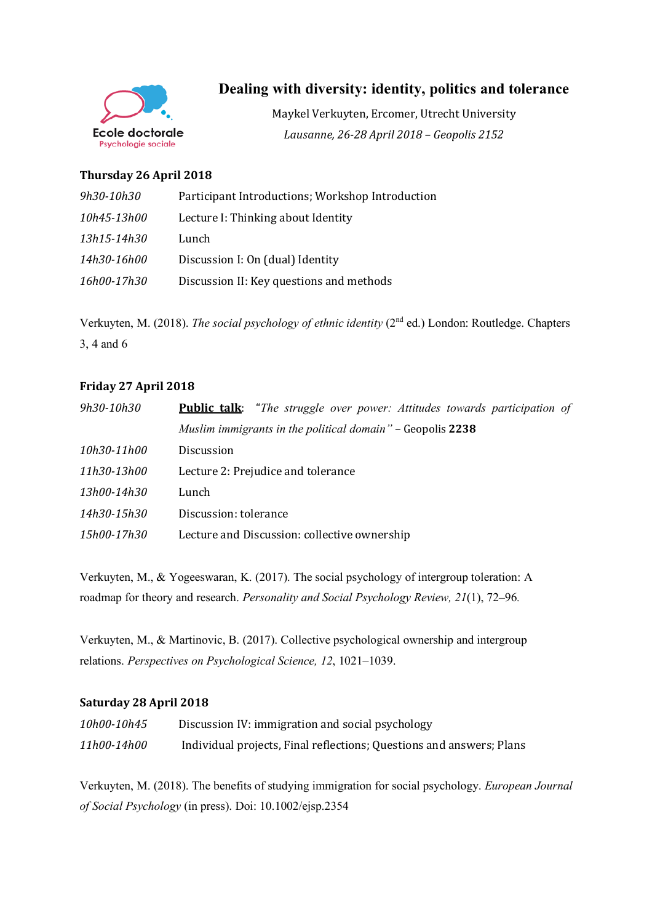

# **Dealing with diversity: identity, politics and tolerance**

Maykel Verkuyten, Ercomer, Utrecht University *Lausanne, 26-28 April 2018 – Geopolis 2152*

## **Thursday 26 April 2018**

| 9h30-10h30  | Participant Introductions; Workshop Introduction |
|-------------|--------------------------------------------------|
| 10h45-13h00 | Lecture I: Thinking about Identity               |
| 13h15-14h30 | Lunch                                            |
| 14h30-16h00 | Discussion I: On (dual) Identity                 |
| 16h00-17h30 | Discussion II: Key questions and methods         |

Verkuyten, M. (2018). *The social psychology of ethnic identity* (2nd ed.) London: Routledge. Chapters 3, 4 and 6

## **Friday 27 April 2018**

| 9h30-10h30  | <b>Public talk:</b> "The struggle over power: Attitudes towards participation of |
|-------------|----------------------------------------------------------------------------------|
|             | Muslim immigrants in the political domain" - Geopolis 2238                       |
| 10h30-11h00 | <b>Discussion</b>                                                                |
| 11h30-13h00 | Lecture 2: Prejudice and tolerance                                               |
| 13h00-14h30 | Lunch                                                                            |
| 14h30-15h30 | Discussion: tolerance                                                            |
| 15h00-17h30 | Lecture and Discussion: collective ownership                                     |

Verkuyten, M., & Yogeeswaran, K. (2017). The social psychology of intergroup toleration: A roadmap for theory and research. *Personality and Social Psychology Review, 21*(1), 72–96.

Verkuyten, M., & Martinovic, B. (2017). Collective psychological ownership and intergroup relations. *Perspectives on Psychological Science, 12*, 1021–1039.

## **Saturday 28 April 2018**

| 10h00-10h45 | Discussion IV: immigration and social psychology                     |
|-------------|----------------------------------------------------------------------|
| 11h00-14h00 | Individual projects, Final reflections; Questions and answers; Plans |

Verkuyten, M. (2018). The benefits of studying immigration for social psychology. *European Journal of Social Psychology* (in press). Doi: 10.1002/ejsp.2354